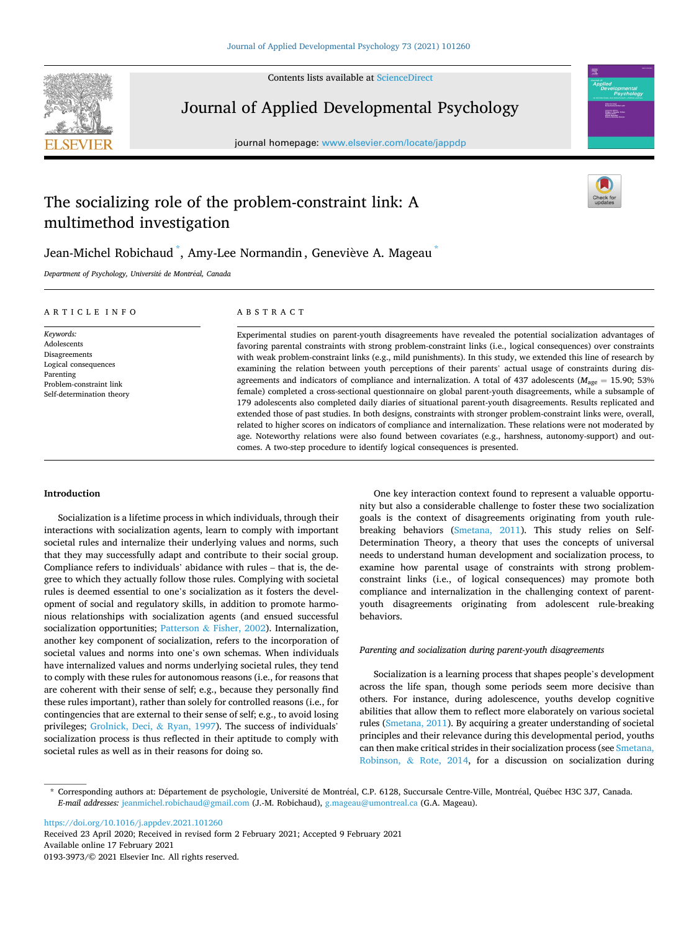Contents lists available at [ScienceDirect](www.sciencedirect.com/science/journal/01933973)



Journal of Applied Developmental Psychology

journal homepage: [www.elsevier.com/locate/jappdp](https://www.elsevier.com/locate/jappdp)



# The socializing role of the problem-constraint link: A multimethod investigation



# Jean-Michel Robichaud  $\mathring{\,}$ , Amy-Lee Normandin , Geneviève A. Mageau  $\mathring{\,}$

*Department of Psychology, Universit*´*e de Montr*´*eal, Canada* 

## ARTICLE INFO

*Keywords:*  Adolescents Disagreements Logical consequences Parenting Problem-constraint link Self-determination theory

# ABSTRACT

Experimental studies on parent-youth disagreements have revealed the potential socialization advantages of favoring parental constraints with strong problem-constraint links (i.e., logical consequences) over constraints with weak problem-constraint links (e.g., mild punishments). In this study, we extended this line of research by examining the relation between youth perceptions of their parents' actual usage of constraints during disagreements and indicators of compliance and internalization. A total of 437 adolescents ( $M_{\text{age}} = 15.90$ ; 53% female) completed a cross-sectional questionnaire on global parent-youth disagreements, while a subsample of 179 adolescents also completed daily diaries of situational parent-youth disagreements. Results replicated and extended those of past studies. In both designs, constraints with stronger problem-constraint links were, overall, related to higher scores on indicators of compliance and internalization. These relations were not moderated by age. Noteworthy relations were also found between covariates (e.g., harshness, autonomy-support) and outcomes. A two-step procedure to identify logical consequences is presented.

# **Introduction**

Socialization is a lifetime process in which individuals, through their interactions with socialization agents, learn to comply with important societal rules and internalize their underlying values and norms, such that they may successfully adapt and contribute to their social group. Compliance refers to individuals' abidance with rules – that is, the degree to which they actually follow those rules. Complying with societal rules is deemed essential to one's socialization as it fosters the development of social and regulatory skills, in addition to promote harmonious relationships with socialization agents (and ensued successful socialization opportunities; Patterson & [Fisher, 2002](#page-11-0)). Internalization, another key component of socialization, refers to the incorporation of societal values and norms into one's own schemas. When individuals have internalized values and norms underlying societal rules, they tend to comply with these rules for autonomous reasons (i.e., for reasons that are coherent with their sense of self; e.g., because they personally find these rules important), rather than solely for controlled reasons (i.e., for contingencies that are external to their sense of self; e.g., to avoid losing privileges; [Grolnick, Deci,](#page-11-0) & Ryan, 1997). The success of individuals' socialization process is thus reflected in their aptitude to comply with societal rules as well as in their reasons for doing so.

One key interaction context found to represent a valuable opportunity but also a considerable challenge to foster these two socialization goals is the context of disagreements originating from youth rulebreaking behaviors [\(Smetana, 2011\)](#page-11-0). This study relies on Self-Determination Theory, a theory that uses the concepts of universal needs to understand human development and socialization process, to examine how parental usage of constraints with strong problemconstraint links (i.e., of logical consequences) may promote both compliance and internalization in the challenging context of parentyouth disagreements originating from adolescent rule-breaking behaviors.

## *Parenting and socialization during parent-youth disagreements*

Socialization is a learning process that shapes people's development across the life span, though some periods seem more decisive than others. For instance, during adolescence, youths develop cognitive abilities that allow them to reflect more elaborately on various societal rules ([Smetana, 2011](#page-11-0)). By acquiring a greater understanding of societal principles and their relevance during this developmental period, youths can then make critical strides in their socialization process (see [Smetana,](#page-11-0)  Robinson, & [Rote, 2014](#page-11-0), for a discussion on socialization during

<https://doi.org/10.1016/j.appdev.2021.101260>

Available online 17 February 2021 0193-3973/© 2021 Elsevier Inc. All rights reserved. Received 23 April 2020; Received in revised form 2 February 2021; Accepted 9 February 2021

<sup>\*</sup> Corresponding authors at: Département de psychologie, Université de Montréal, C.P. 6128, Succursale Centre-Ville, Montréal, Québec H3C 3J7, Canada. *E-mail addresses:* [jeanmichel.robichaud@gmail.com](mailto:jeanmichel.robichaud@gmail.com) (J.-M. Robichaud), [g.mageau@umontreal.ca](mailto:g.mageau@umontreal.ca) (G.A. Mageau).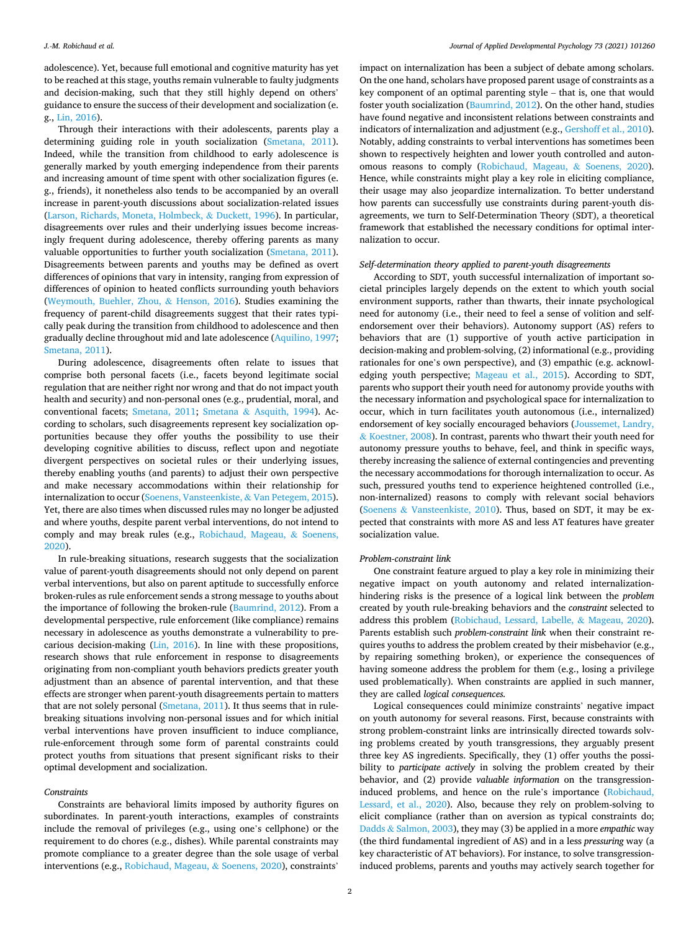adolescence). Yet, because full emotional and cognitive maturity has yet to be reached at this stage, youths remain vulnerable to faulty judgments and decision-making, such that they still highly depend on others' guidance to ensure the success of their development and socialization (e. g., [Lin, 2016](#page-11-0)).

Through their interactions with their adolescents, parents play a determining guiding role in youth socialization ([Smetana, 2011](#page-11-0)). Indeed, while the transition from childhood to early adolescence is generally marked by youth emerging independence from their parents and increasing amount of time spent with other socialization figures (e. g., friends), it nonetheless also tends to be accompanied by an overall increase in parent-youth discussions about socialization-related issues ([Larson, Richards, Moneta, Holmbeck,](#page-11-0) & Duckett, 1996). In particular, disagreements over rules and their underlying issues become increasingly frequent during adolescence, thereby offering parents as many valuable opportunities to further youth socialization [\(Smetana, 2011](#page-11-0)). Disagreements between parents and youths may be defined as overt differences of opinions that vary in intensity, ranging from expression of differences of opinion to heated conflicts surrounding youth behaviors ([Weymouth, Buehler, Zhou,](#page-11-0) & Henson, 2016). Studies examining the frequency of parent-child disagreements suggest that their rates typically peak during the transition from childhood to adolescence and then gradually decline throughout mid and late adolescence [\(Aquilino, 1997](#page-11-0); [Smetana, 2011](#page-11-0)).

During adolescence, disagreements often relate to issues that comprise both personal facets (i.e., facets beyond legitimate social regulation that are neither right nor wrong and that do not impact youth health and security) and non-personal ones (e.g., prudential, moral, and conventional facets; [Smetana, 2011](#page-11-0); Smetana & [Asquith, 1994](#page-11-0)). According to scholars, such disagreements represent key socialization opportunities because they offer youths the possibility to use their developing cognitive abilities to discuss, reflect upon and negotiate divergent perspectives on societal rules or their underlying issues, thereby enabling youths (and parents) to adjust their own perspective and make necessary accommodations within their relationship for internalization to occur ([Soenens, Vansteenkiste,](#page-11-0) & Van Petegem, 2015). Yet, there are also times when discussed rules may no longer be adjusted and where youths, despite parent verbal interventions, do not intend to comply and may break rules (e.g., [Robichaud, Mageau,](#page-11-0) & Soenens, [2020\)](#page-11-0).

In rule-breaking situations, research suggests that the socialization value of parent-youth disagreements should not only depend on parent verbal interventions, but also on parent aptitude to successfully enforce broken-rules as rule enforcement sends a strong message to youths about the importance of following the broken-rule ([Baumrind, 2012](#page-11-0)). From a developmental perspective, rule enforcement (like compliance) remains necessary in adolescence as youths demonstrate a vulnerability to precarious decision-making ([Lin, 2016\)](#page-11-0). In line with these propositions, research shows that rule enforcement in response to disagreements originating from non-compliant youth behaviors predicts greater youth adjustment than an absence of parental intervention, and that these effects are stronger when parent-youth disagreements pertain to matters that are not solely personal ([Smetana, 2011](#page-11-0)). It thus seems that in rulebreaking situations involving non-personal issues and for which initial verbal interventions have proven insufficient to induce compliance, rule-enforcement through some form of parental constraints could protect youths from situations that present significant risks to their optimal development and socialization.

## *Constraints*

Constraints are behavioral limits imposed by authority figures on subordinates. In parent-youth interactions, examples of constraints include the removal of privileges (e.g., using one's cellphone) or the requirement to do chores (e.g., dishes). While parental constraints may promote compliance to a greater degree than the sole usage of verbal interventions (e.g., [Robichaud, Mageau,](#page-11-0) & Soenens, 2020), constraints'

impact on internalization has been a subject of debate among scholars. On the one hand, scholars have proposed parent usage of constraints as a key component of an optimal parenting style – that is, one that would foster youth socialization [\(Baumrind, 2012](#page-11-0)). On the other hand, studies have found negative and inconsistent relations between constraints and indicators of internalization and adjustment (e.g., [Gershoff et al., 2010](#page-11-0)). Notably, adding constraints to verbal interventions has sometimes been shown to respectively heighten and lower youth controlled and autonomous reasons to comply ([Robichaud, Mageau,](#page-11-0) & Soenens, 2020). Hence, while constraints might play a key role in eliciting compliance, their usage may also jeopardize internalization. To better understand how parents can successfully use constraints during parent-youth disagreements, we turn to Self-Determination Theory (SDT), a theoretical framework that established the necessary conditions for optimal internalization to occur.

## *Self-determination theory applied to parent-youth disagreements*

According to SDT, youth successful internalization of important societal principles largely depends on the extent to which youth social environment supports, rather than thwarts, their innate psychological need for autonomy (i.e., their need to feel a sense of volition and selfendorsement over their behaviors). Autonomy support (AS) refers to behaviors that are (1) supportive of youth active participation in decision-making and problem-solving, (2) informational (e.g., providing rationales for one's own perspective), and (3) empathic (e.g. acknowledging youth perspective; [Mageau et al., 2015\)](#page-11-0). According to SDT, parents who support their youth need for autonomy provide youths with the necessary information and psychological space for internalization to occur, which in turn facilitates youth autonomous (i.e., internalized) endorsement of key socially encouraged behaviors ([Joussemet, Landry,](#page-11-0)  & [Koestner, 2008\)](#page-11-0). In contrast, parents who thwart their youth need for autonomy pressure youths to behave, feel, and think in specific ways, thereby increasing the salience of external contingencies and preventing the necessary accommodations for thorough internalization to occur. As such, pressured youths tend to experience heightened controlled (i.e., non-internalized) reasons to comply with relevant social behaviors (Soenens & [Vansteenkiste, 2010\)](#page-11-0). Thus, based on SDT, it may be expected that constraints with more AS and less AT features have greater socialization value.

# *Problem-constraint link*

One constraint feature argued to play a key role in minimizing their negative impact on youth autonomy and related internalizationhindering risks is the presence of a logical link between the *problem*  created by youth rule-breaking behaviors and the *constraint* selected to address this problem [\(Robichaud, Lessard, Labelle,](#page-11-0) & Mageau, 2020). Parents establish such *problem-constraint link* when their constraint requires youths to address the problem created by their misbehavior (e.g., by repairing something broken), or experience the consequences of having someone address the problem for them (e.g., losing a privilege used problematically). When constraints are applied in such manner, they are called *logical consequences.* 

Logical consequences could minimize constraints' negative impact on youth autonomy for several reasons. First, because constraints with strong problem-constraint links are intrinsically directed towards solving problems created by youth transgressions, they arguably present three key AS ingredients. Specifically, they (1) offer youths the possibility to *participate actively* in solving the problem created by their behavior, and (2) provide *valuable information* on the transgressioninduced problems, and hence on the rule's importance ([Robichaud,](#page-11-0)  [Lessard, et al., 2020\)](#page-11-0). Also, because they rely on problem-solving to elicit compliance (rather than on aversion as typical constraints do; Dadds & [Salmon, 2003](#page-11-0)), they may (3) be applied in a more *empathic* way (the third fundamental ingredient of AS) and in a less *pressuring* way (a key characteristic of AT behaviors). For instance, to solve transgressioninduced problems, parents and youths may actively search together for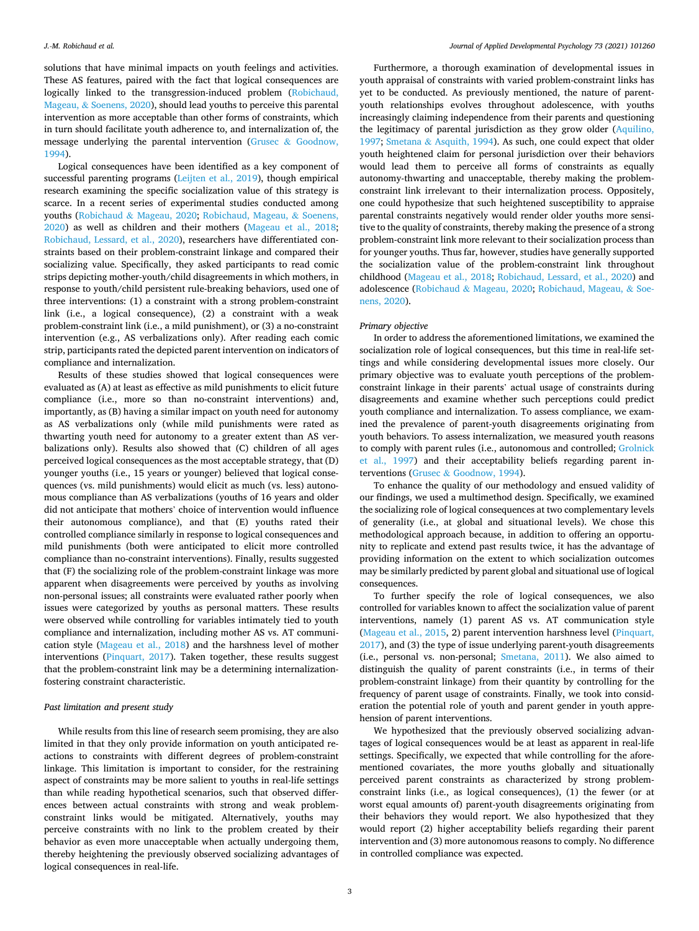solutions that have minimal impacts on youth feelings and activities. These AS features, paired with the fact that logical consequences are logically linked to the transgression-induced problem ([Robichaud,](#page-11-0)  Mageau, & [Soenens, 2020\)](#page-11-0), should lead youths to perceive this parental intervention as more acceptable than other forms of constraints, which in turn should facilitate youth adherence to, and internalization of, the message underlying the parental intervention (Grusec & [Goodnow,](#page-11-0)  [1994\)](#page-11-0).

Logical consequences have been identified as a key component of successful parenting programs [\(Leijten et al., 2019\)](#page-11-0), though empirical research examining the specific socialization value of this strategy is scarce. In a recent series of experimental studies conducted among youths (Robichaud & [Mageau, 2020;](#page-11-0) [Robichaud, Mageau,](#page-11-0) & Soenens, [2020\)](#page-11-0) as well as children and their mothers [\(Mageau et al., 2018](#page-11-0); [Robichaud, Lessard, et al., 2020\)](#page-11-0), researchers have differentiated constraints based on their problem-constraint linkage and compared their socializing value. Specifically, they asked participants to read comic strips depicting mother-youth/child disagreements in which mothers, in response to youth/child persistent rule-breaking behaviors, used one of three interventions: (1) a constraint with a strong problem-constraint link (i.e., a logical consequence), (2) a constraint with a weak problem-constraint link (i.e., a mild punishment), or (3) a no-constraint intervention (e.g., AS verbalizations only). After reading each comic strip, participants rated the depicted parent intervention on indicators of compliance and internalization.

Results of these studies showed that logical consequences were evaluated as (A) at least as effective as mild punishments to elicit future compliance (i.e., more so than no-constraint interventions) and, importantly, as (B) having a similar impact on youth need for autonomy as AS verbalizations only (while mild punishments were rated as thwarting youth need for autonomy to a greater extent than AS verbalizations only). Results also showed that (C) children of all ages perceived logical consequences as the most acceptable strategy, that (D) younger youths (i.e., 15 years or younger) believed that logical consequences (vs. mild punishments) would elicit as much (vs. less) autonomous compliance than AS verbalizations (youths of 16 years and older did not anticipate that mothers' choice of intervention would influence their autonomous compliance), and that (E) youths rated their controlled compliance similarly in response to logical consequences and mild punishments (both were anticipated to elicit more controlled compliance than no-constraint interventions). Finally, results suggested that (F) the socializing role of the problem-constraint linkage was more apparent when disagreements were perceived by youths as involving non-personal issues; all constraints were evaluated rather poorly when issues were categorized by youths as personal matters. These results were observed while controlling for variables intimately tied to youth compliance and internalization, including mother AS vs. AT communication style [\(Mageau et al., 2018](#page-11-0)) and the harshness level of mother interventions ([Pinquart, 2017\)](#page-11-0). Taken together, these results suggest that the problem-constraint link may be a determining internalizationfostering constraint characteristic.

## *Past limitation and present study*

While results from this line of research seem promising, they are also limited in that they only provide information on youth anticipated reactions to constraints with different degrees of problem-constraint linkage. This limitation is important to consider, for the restraining aspect of constraints may be more salient to youths in real-life settings than while reading hypothetical scenarios, such that observed differences between actual constraints with strong and weak problemconstraint links would be mitigated. Alternatively, youths may perceive constraints with no link to the problem created by their behavior as even more unacceptable when actually undergoing them, thereby heightening the previously observed socializing advantages of logical consequences in real-life.

Furthermore, a thorough examination of developmental issues in youth appraisal of constraints with varied problem-constraint links has yet to be conducted. As previously mentioned, the nature of parentyouth relationships evolves throughout adolescence, with youths increasingly claiming independence from their parents and questioning the legitimacy of parental jurisdiction as they grow older [\(Aquilino,](#page-11-0)  [1997;](#page-11-0) Smetana & [Asquith, 1994\)](#page-11-0). As such, one could expect that older youth heightened claim for personal jurisdiction over their behaviors would lead them to perceive all forms of constraints as equally autonomy-thwarting and unacceptable, thereby making the problemconstraint link irrelevant to their internalization process. Oppositely, one could hypothesize that such heightened susceptibility to appraise parental constraints negatively would render older youths more sensitive to the quality of constraints, thereby making the presence of a strong problem-constraint link more relevant to their socialization process than for younger youths. Thus far, however, studies have generally supported the socialization value of the problem-constraint link throughout childhood ([Mageau et al., 2018](#page-11-0); [Robichaud, Lessard, et al., 2020\)](#page-11-0) and adolescence (Robichaud & [Mageau, 2020;](#page-11-0) [Robichaud, Mageau,](#page-11-0) & Soe[nens, 2020](#page-11-0)).

#### *Primary objective*

In order to address the aforementioned limitations, we examined the socialization role of logical consequences, but this time in real-life settings and while considering developmental issues more closely. Our primary objective was to evaluate youth perceptions of the problemconstraint linkage in their parents' actual usage of constraints during disagreements and examine whether such perceptions could predict youth compliance and internalization. To assess compliance, we examined the prevalence of parent-youth disagreements originating from youth behaviors. To assess internalization, we measured youth reasons to comply with parent rules (i.e., autonomous and controlled; [Grolnick](#page-11-0)  [et al., 1997\)](#page-11-0) and their acceptability beliefs regarding parent interventions (Grusec & [Goodnow, 1994\)](#page-11-0).

To enhance the quality of our methodology and ensued validity of our findings, we used a multimethod design. Specifically, we examined the socializing role of logical consequences at two complementary levels of generality (i.e., at global and situational levels). We chose this methodological approach because, in addition to offering an opportunity to replicate and extend past results twice, it has the advantage of providing information on the extent to which socialization outcomes may be similarly predicted by parent global and situational use of logical consequences.

To further specify the role of logical consequences, we also controlled for variables known to affect the socialization value of parent interventions, namely (1) parent AS vs. AT communication style ([Mageau et al., 2015](#page-11-0), 2) parent intervention harshness level [\(Pinquart,](#page-11-0)  [2017\)](#page-11-0), and (3) the type of issue underlying parent-youth disagreements (i.e., personal vs. non-personal; [Smetana, 2011\)](#page-11-0). We also aimed to distinguish the quality of parent constraints (i.e., in terms of their problem-constraint linkage) from their quantity by controlling for the frequency of parent usage of constraints. Finally, we took into consideration the potential role of youth and parent gender in youth apprehension of parent interventions.

We hypothesized that the previously observed socializing advantages of logical consequences would be at least as apparent in real-life settings. Specifically, we expected that while controlling for the aforementioned covariates, the more youths globally and situationally perceived parent constraints as characterized by strong problemconstraint links (i.e., as logical consequences), (1) the fewer (or at worst equal amounts of) parent-youth disagreements originating from their behaviors they would report. We also hypothesized that they would report (2) higher acceptability beliefs regarding their parent intervention and (3) more autonomous reasons to comply. No difference in controlled compliance was expected.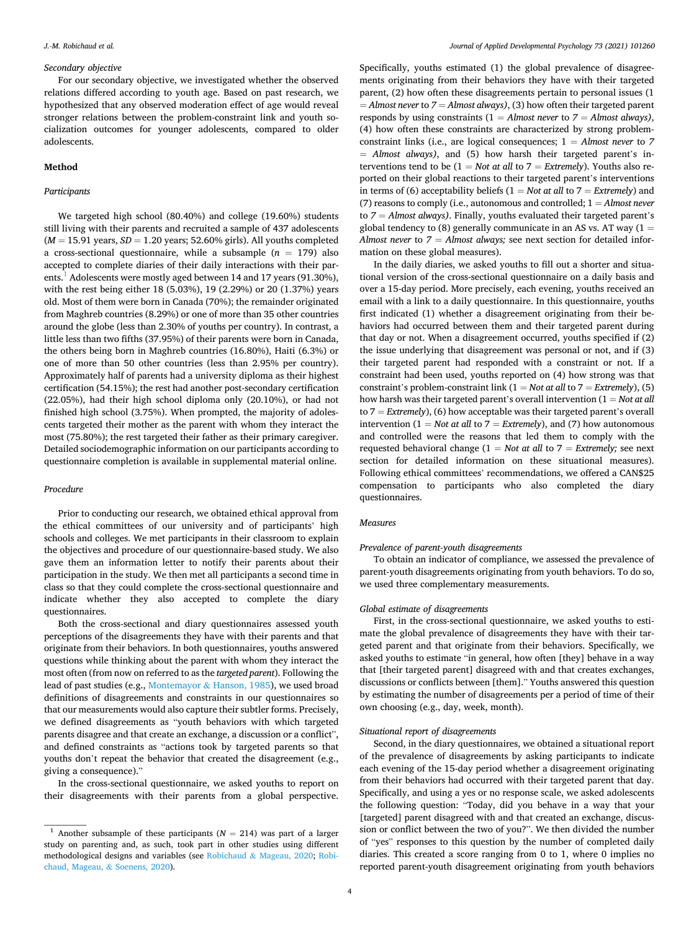## *Secondary objective*

For our secondary objective, we investigated whether the observed relations differed according to youth age. Based on past research, we hypothesized that any observed moderation effect of age would reveal stronger relations between the problem-constraint link and youth socialization outcomes for younger adolescents, compared to older adolescents.

# **Method**

# *Participants*

We targeted high school (80.40%) and college (19.60%) students still living with their parents and recruited a sample of 437 adolescents  $(M = 15.91$  years,  $SD = 1.20$  years; 52.60% girls). All youths completed a cross-sectional questionnaire, while a subsample  $(n = 179)$  also accepted to complete diaries of their daily interactions with their parents.<sup>1</sup> Adolescents were mostly aged between 14 and 17 years (91.30%), with the rest being either 18 (5.03%), 19 (2.29%) or 20 (1.37%) years old. Most of them were born in Canada (70%); the remainder originated from Maghreb countries (8.29%) or one of more than 35 other countries around the globe (less than 2.30% of youths per country). In contrast, a little less than two fifths (37.95%) of their parents were born in Canada, the others being born in Maghreb countries (16.80%), Haiti (6.3%) or one of more than 50 other countries (less than 2.95% per country). Approximately half of parents had a university diploma as their highest certification (54.15%); the rest had another post-secondary certification (22.05%), had their high school diploma only (20.10%), or had not finished high school (3.75%). When prompted, the majority of adolescents targeted their mother as the parent with whom they interact the most (75.80%); the rest targeted their father as their primary caregiver. Detailed sociodemographic information on our participants according to questionnaire completion is available in supplemental material online.

## *Procedure*

Prior to conducting our research, we obtained ethical approval from the ethical committees of our university and of participants' high schools and colleges. We met participants in their classroom to explain the objectives and procedure of our questionnaire-based study. We also gave them an information letter to notify their parents about their participation in the study. We then met all participants a second time in class so that they could complete the cross-sectional questionnaire and indicate whether they also accepted to complete the diary questionnaires.

Both the cross-sectional and diary questionnaires assessed youth perceptions of the disagreements they have with their parents and that originate from their behaviors. In both questionnaires, youths answered questions while thinking about the parent with whom they interact the most often (from now on referred to as the *targeted parent*). Following the lead of past studies (e.g., Montemayor & [Hanson, 1985\)](#page-11-0), we used broad definitions of disagreements and constraints in our questionnaires so that our measurements would also capture their subtler forms. Precisely, we defined disagreements as "youth behaviors with which targeted parents disagree and that create an exchange, a discussion or a conflict", and defined constraints as "actions took by targeted parents so that youths don't repeat the behavior that created the disagreement (e.g., giving a consequence)."

In the cross-sectional questionnaire, we asked youths to report on their disagreements with their parents from a global perspective.

Specifically, youths estimated (1) the global prevalence of disagreements originating from their behaviors they have with their targeted parent, (2) how often these disagreements pertain to personal issues (1 = *Almost never* to *7* = *Almost always)*, (3) how often their targeted parent responds by using constraints (1 = *Almost never* to *7* = *Almost always)*, (4) how often these constraints are characterized by strong problemconstraint links (i.e., are logical consequences; 1 = *Almost never* to *7*  = *Almost always)*, and (5) how harsh their targeted parent's interventions tend to be  $(1 = Not at all to 7 = Extremely)$ . Youths also reported on their global reactions to their targeted parent's interventions in terms of (6) acceptability beliefs  $(1 = Not at all to 7 = Extremely)$  and (7) reasons to comply (i.e., autonomous and controlled; 1 = *Almost never*  to *7* = *Almost always)*. Finally, youths evaluated their targeted parent's global tendency to (8) generally communicate in an AS vs. AT way ( $1 =$ *Almost never* to *7* = *Almost always;* see next section for detailed information on these global measures).

In the daily diaries, we asked youths to fill out a shorter and situational version of the cross-sectional questionnaire on a daily basis and over a 15-day period. More precisely, each evening, youths received an email with a link to a daily questionnaire. In this questionnaire, youths first indicated (1) whether a disagreement originating from their behaviors had occurred between them and their targeted parent during that day or not. When a disagreement occurred, youths specified if (2) the issue underlying that disagreement was personal or not, and if (3) their targeted parent had responded with a constraint or not. If a constraint had been used, youths reported on (4) how strong was that constraint's problem-constraint link (1 = *Not at all* to 7 = *Extremely*), (5) how harsh was their targeted parent's overall intervention (1 = *Not at all*  to 7 = *Extremely*), (6) how acceptable was their targeted parent's overall intervention ( $1 = Not$  at all to  $7 = Extremely$ ), and (7) how autonomous and controlled were the reasons that led them to comply with the requested behavioral change  $(1 = Not at all to 7 = Extremely; see next)$ section for detailed information on these situational measures). Following ethical committees' recommendations, we offered a CAN\$25 compensation to participants who also completed the diary questionnaires.

## *Measures*

## *Prevalence of parent-youth disagreements*

To obtain an indicator of compliance, we assessed the prevalence of parent-youth disagreements originating from youth behaviors. To do so, we used three complementary measurements.

## *Global estimate of disagreements*

First, in the cross-sectional questionnaire, we asked youths to estimate the global prevalence of disagreements they have with their targeted parent and that originate from their behaviors. Specifically, we asked youths to estimate "in general, how often [they] behave in a way that [their targeted parent] disagreed with and that creates exchanges, discussions or conflicts between [them]." Youths answered this question by estimating the number of disagreements per a period of time of their own choosing (e.g., day, week, month).

# *Situational report of disagreements*

Second, in the diary questionnaires, we obtained a situational report of the prevalence of disagreements by asking participants to indicate each evening of the 15-day period whether a disagreement originating from their behaviors had occurred with their targeted parent that day. Specifically, and using a yes or no response scale, we asked adolescents the following question: "Today, did you behave in a way that your [targeted] parent disagreed with and that created an exchange, discussion or conflict between the two of you?". We then divided the number of "yes" responses to this question by the number of completed daily diaries. This created a score ranging from 0 to 1, where 0 implies no reported parent-youth disagreement originating from youth behaviors

<sup>&</sup>lt;sup>1</sup> Another subsample of these participants ( $N = 214$ ) was part of a larger study on parenting and, as such, took part in other studies using different methodological designs and variables (see Robichaud & [Mageau, 2020;](#page-11-0) [Robi](#page-11-0)[chaud, Mageau,](#page-11-0) & Soenens, 2020).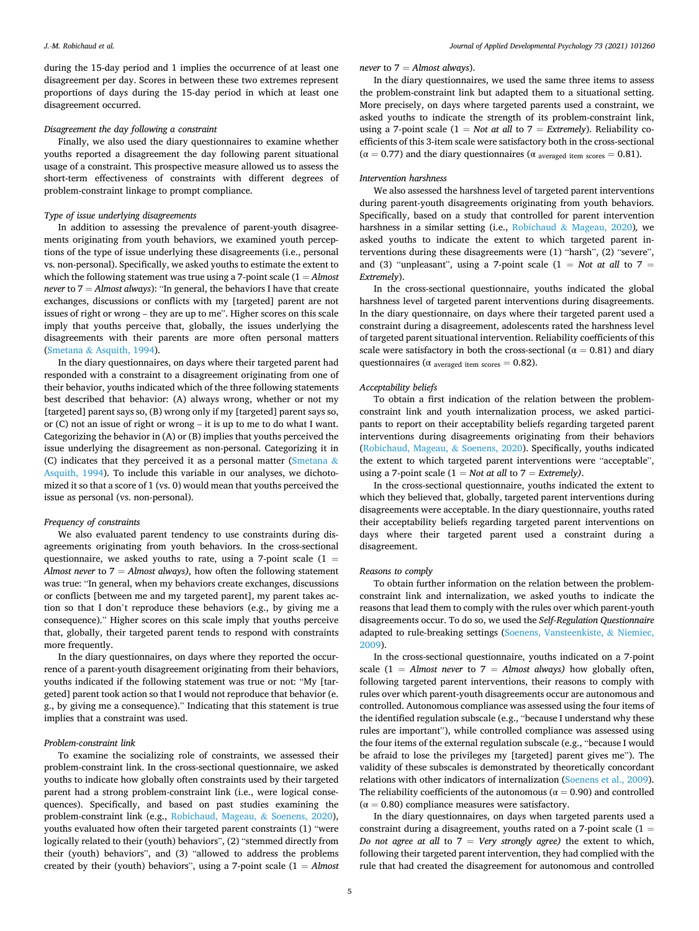during the 15-day period and 1 implies the occurrence of at least one disagreement per day. Scores in between these two extremes represent proportions of days during the 15-day period in which at least one disagreement occurred.

# *Disagreement the day following a constraint*

Finally, we also used the diary questionnaires to examine whether youths reported a disagreement the day following parent situational usage of a constraint. This prospective measure allowed us to assess the short-term effectiveness of constraints with different degrees of problem-constraint linkage to prompt compliance.

# *Type of issue underlying disagreements*

In addition to assessing the prevalence of parent-youth disagreements originating from youth behaviors, we examined youth perceptions of the type of issue underlying these disagreements (i.e., personal vs. non-personal). Specifically, we asked youths to estimate the extent to which the following statement was true using a 7-point scale (1 = *Almost never* to 7 = *Almost always*): "In general, the behaviors I have that create exchanges, discussions or conflicts with my [targeted] parent are not issues of right or wrong – they are up to me". Higher scores on this scale imply that youths perceive that, globally, the issues underlying the disagreements with their parents are more often personal matters (Smetana & [Asquith, 1994](#page-11-0)).

In the diary questionnaires, on days where their targeted parent had responded with a constraint to a disagreement originating from one of their behavior, youths indicated which of the three following statements best described that behavior: (A) always wrong, whether or not my [targeted] parent says so, (B) wrong only if my [targeted] parent says so, or (C) not an issue of right or wrong – it is up to me to do what I want. Categorizing the behavior in (A) or (B) implies that youths perceived the issue underlying the disagreement as non-personal. Categorizing it in (C) indicates that they perceived it as a personal matter [\(Smetana](#page-11-0)  $\&$ [Asquith, 1994](#page-11-0)). To include this variable in our analyses, we dichotomized it so that a score of 1 (vs. 0) would mean that youths perceived the issue as personal (vs. non-personal).

## *Frequency of constraints*

We also evaluated parent tendency to use constraints during disagreements originating from youth behaviors. In the cross-sectional questionnaire, we asked youths to rate, using a 7-point scale  $(1 =$ *Almost never* to 7 = *Almost always),* how often the following statement was true: "In general, when my behaviors create exchanges, discussions or conflicts [between me and my targeted parent], my parent takes action so that I don't reproduce these behaviors (e.g., by giving me a consequence)." Higher scores on this scale imply that youths perceive that, globally, their targeted parent tends to respond with constraints more frequently.

In the diary questionnaires, on days where they reported the occurrence of a parent-youth disagreement originating from their behaviors, youths indicated if the following statement was true or not: "My [targeted] parent took action so that I would not reproduce that behavior (e. g., by giving me a consequence)." Indicating that this statement is true implies that a constraint was used.

#### *Problem-constraint link*

To examine the socializing role of constraints, we assessed their problem-constraint link. In the cross-sectional questionnaire, we asked youths to indicate how globally often constraints used by their targeted parent had a strong problem-constraint link (i.e., were logical consequences). Specifically, and based on past studies examining the problem-constraint link (e.g., [Robichaud, Mageau,](#page-11-0) & Soenens, 2020), youths evaluated how often their targeted parent constraints (1) "were logically related to their (youth) behaviors", (2) "stemmed directly from their (youth) behaviors", and (3) "allowed to address the problems created by their (youth) behaviors", using a 7-point scale  $(1 =$  *Almost*  *never* to 7 = *Almost always*).

In the diary questionnaires, we used the same three items to assess the problem-constraint link but adapted them to a situational setting. More precisely, on days where targeted parents used a constraint, we asked youths to indicate the strength of its problem-constraint link, using a 7-point scale  $(1 = Not at all to 7 = Extremely)$ . Reliability coefficients of this 3-item scale were satisfactory both in the cross-sectional  $(α = 0.77)$  and the diary questionnaires  $(α$  <sub>averaged item scores</sub> = 0.81).

#### *Intervention harshness*

We also assessed the harshness level of targeted parent interventions during parent-youth disagreements originating from youth behaviors. Specifically, based on a study that controlled for parent intervention harshness in a similar setting (i.e., Robichaud & [Mageau, 2020\)](#page-11-0)*,* we asked youths to indicate the extent to which targeted parent interventions during these disagreements were (1) "harsh", (2) "severe", and (3) "unpleasant", using a 7-point scale ( $1 = Not$  at all to  $7 =$ *Extremely*).

In the cross-sectional questionnaire, youths indicated the global harshness level of targeted parent interventions during disagreements. In the diary questionnaire, on days where their targeted parent used a constraint during a disagreement, adolescents rated the harshness level of targeted parent situational intervention. Reliability coefficients of this scale were satisfactory in both the cross-sectional ( $\alpha = 0.81$ ) and diary questionnaires ( $\alpha$  averaged item scores = 0.82).

### *Acceptability beliefs*

To obtain a first indication of the relation between the problemconstraint link and youth internalization process, we asked participants to report on their acceptability beliefs regarding targeted parent interventions during disagreements originating from their behaviors ([Robichaud, Mageau,](#page-11-0) & Soenens, 2020). Specifically, youths indicated the extent to which targeted parent interventions were "acceptable", using a 7-point scale  $(1 = Not at all to 7 = Extremely)$ .

In the cross-sectional questionnaire, youths indicated the extent to which they believed that, globally, targeted parent interventions during disagreements were acceptable. In the diary questionnaire, youths rated their acceptability beliefs regarding targeted parent interventions on days where their targeted parent used a constraint during a disagreement.

## *Reasons to comply*

To obtain further information on the relation between the problemconstraint link and internalization, we asked youths to indicate the reasons that lead them to comply with the rules over which parent-youth disagreements occur. To do so, we used the *Self-Regulation Questionnaire*  adapted to rule-breaking settings [\(Soenens, Vansteenkiste,](#page-11-0) & Niemiec, [2009\)](#page-11-0).

In the cross-sectional questionnaire, youths indicated on a 7-point scale  $(1)$  = *Almost never* to  $7$  = *Almost always*) how globally often, following targeted parent interventions, their reasons to comply with rules over which parent-youth disagreements occur are autonomous and controlled. Autonomous compliance was assessed using the four items of the identified regulation subscale (e.g., "because I understand why these rules are important"), while controlled compliance was assessed using the four items of the external regulation subscale (e.g., "because I would be afraid to lose the privileges my [targeted] parent gives me"). The validity of these subscales is demonstrated by theoretically concordant relations with other indicators of internalization ([Soenens et al., 2009](#page-11-0)). The reliability coefficients of the autonomous ( $\alpha = 0.90$ ) and controlled  $(\alpha = 0.80)$  compliance measures were satisfactory.

In the diary questionnaires, on days when targeted parents used a constraint during a disagreement, youths rated on a 7-point scale  $(1 =$ *Do not agree at all* to 7 = *Very strongly agree)* the extent to which, following their targeted parent intervention, they had complied with the rule that had created the disagreement for autonomous and controlled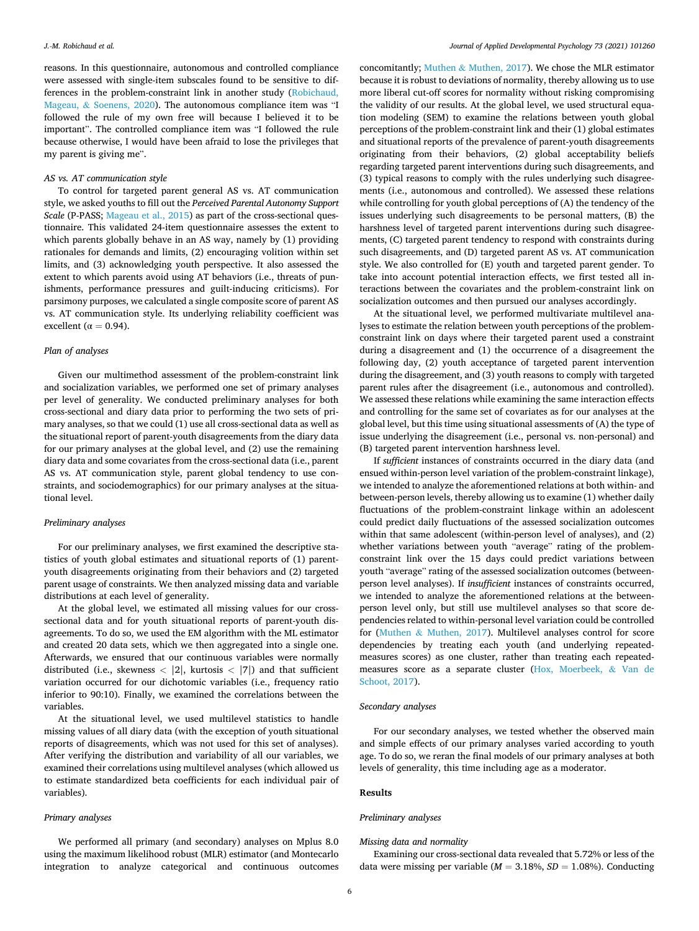reasons. In this questionnaire, autonomous and controlled compliance were assessed with single-item subscales found to be sensitive to differences in the problem-constraint link in another study ([Robichaud,](#page-11-0)  Mageau, & [Soenens, 2020](#page-11-0)). The autonomous compliance item was "I followed the rule of my own free will because I believed it to be important". The controlled compliance item was "I followed the rule because otherwise, I would have been afraid to lose the privileges that my parent is giving me".

#### *AS vs. AT communication style*

To control for targeted parent general AS vs. AT communication style, we asked youths to fill out the *Perceived Parental Autonomy Support Scale* (P-PASS; [Mageau et al., 2015](#page-11-0)) as part of the cross-sectional questionnaire. This validated 24-item questionnaire assesses the extent to which parents globally behave in an AS way, namely by (1) providing rationales for demands and limits, (2) encouraging volition within set limits, and (3) acknowledging youth perspective. It also assessed the extent to which parents avoid using AT behaviors (i.e., threats of punishments, performance pressures and guilt-inducing criticisms). For parsimony purposes, we calculated a single composite score of parent AS vs. AT communication style. Its underlying reliability coefficient was excellent ( $\alpha = 0.94$ ).

# *Plan of analyses*

Given our multimethod assessment of the problem-constraint link and socialization variables, we performed one set of primary analyses per level of generality. We conducted preliminary analyses for both cross-sectional and diary data prior to performing the two sets of primary analyses, so that we could (1) use all cross-sectional data as well as the situational report of parent-youth disagreements from the diary data for our primary analyses at the global level, and (2) use the remaining diary data and some covariates from the cross-sectional data (i.e., parent AS vs. AT communication style, parent global tendency to use constraints, and sociodemographics) for our primary analyses at the situational level.

## *Preliminary analyses*

For our preliminary analyses, we first examined the descriptive statistics of youth global estimates and situational reports of (1) parentyouth disagreements originating from their behaviors and (2) targeted parent usage of constraints. We then analyzed missing data and variable distributions at each level of generality.

At the global level, we estimated all missing values for our crosssectional data and for youth situational reports of parent-youth disagreements. To do so, we used the EM algorithm with the ML estimator and created 20 data sets, which we then aggregated into a single one. Afterwards, we ensured that our continuous variables were normally distributed (i.e., skewness *<* |2|, kurtosis *<* |7|) and that sufficient variation occurred for our dichotomic variables (i.e., frequency ratio inferior to 90:10). Finally, we examined the correlations between the variables.

At the situational level, we used multilevel statistics to handle missing values of all diary data (with the exception of youth situational reports of disagreements, which was not used for this set of analyses). After verifying the distribution and variability of all our variables, we examined their correlations using multilevel analyses (which allowed us to estimate standardized beta coefficients for each individual pair of variables).

# *Primary analyses*

We performed all primary (and secondary) analyses on Mplus 8.0 using the maximum likelihood robust (MLR) estimator (and Montecarlo integration to analyze categorical and continuous outcomes

concomitantly; Muthen & [Muthen, 2017](#page-11-0)). We chose the MLR estimator because it is robust to deviations of normality, thereby allowing us to use more liberal cut-off scores for normality without risking compromising the validity of our results. At the global level, we used structural equation modeling (SEM) to examine the relations between youth global perceptions of the problem-constraint link and their (1) global estimates and situational reports of the prevalence of parent-youth disagreements originating from their behaviors, (2) global acceptability beliefs regarding targeted parent interventions during such disagreements, and (3) typical reasons to comply with the rules underlying such disagreements (i.e., autonomous and controlled). We assessed these relations while controlling for youth global perceptions of (A) the tendency of the issues underlying such disagreements to be personal matters, (B) the harshness level of targeted parent interventions during such disagreements, (C) targeted parent tendency to respond with constraints during such disagreements, and (D) targeted parent AS vs. AT communication style. We also controlled for (E) youth and targeted parent gender. To take into account potential interaction effects, we first tested all interactions between the covariates and the problem-constraint link on socialization outcomes and then pursued our analyses accordingly.

At the situational level, we performed multivariate multilevel analyses to estimate the relation between youth perceptions of the problemconstraint link on days where their targeted parent used a constraint during a disagreement and (1) the occurrence of a disagreement the following day, (2) youth acceptance of targeted parent intervention during the disagreement, and (3) youth reasons to comply with targeted parent rules after the disagreement (i.e., autonomous and controlled). We assessed these relations while examining the same interaction effects and controlling for the same set of covariates as for our analyses at the global level, but this time using situational assessments of (A) the type of issue underlying the disagreement (i.e., personal vs. non-personal) and (B) targeted parent intervention harshness level.

If *sufficient* instances of constraints occurred in the diary data (and ensued within-person level variation of the problem-constraint linkage), we intended to analyze the aforementioned relations at both within- and between-person levels, thereby allowing us to examine (1) whether daily fluctuations of the problem-constraint linkage within an adolescent could predict daily fluctuations of the assessed socialization outcomes within that same adolescent (within-person level of analyses), and (2) whether variations between youth "average" rating of the problemconstraint link over the 15 days could predict variations between youth "average" rating of the assessed socialization outcomes (betweenperson level analyses). If *insufficient* instances of constraints occurred, we intended to analyze the aforementioned relations at the betweenperson level only, but still use multilevel analyses so that score dependencies related to within-personal level variation could be controlled for (Muthen & [Muthen, 2017](#page-11-0)). Multilevel analyses control for score dependencies by treating each youth (and underlying repeatedmeasures scores) as one cluster, rather than treating each repeatedmeasures score as a separate cluster [\(Hox, Moerbeek,](#page-11-0) & Van de [Schoot, 2017](#page-11-0)).

# *Secondary analyses*

For our secondary analyses, we tested whether the observed main and simple effects of our primary analyses varied according to youth age. To do so, we reran the final models of our primary analyses at both levels of generality, this time including age as a moderator.

#### **Results**

# *Preliminary analyses*

#### *Missing data and normality*

Examining our cross-sectional data revealed that 5.72% or less of the data were missing per variable ( $M = 3.18\%$ ,  $SD = 1.08\%$ ). Conducting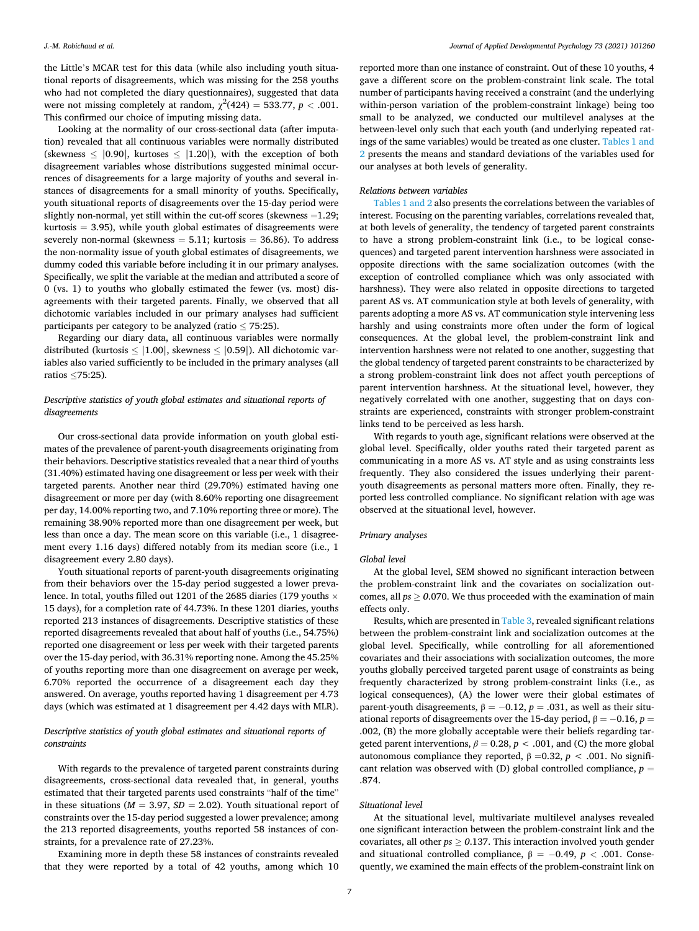the Little's MCAR test for this data (while also including youth situational reports of disagreements, which was missing for the 258 youths who had not completed the diary questionnaires), suggested that data were not missing completely at random,  $\chi^2(424) = 533.77$ ,  $p < .001$ . This confirmed our choice of imputing missing data.

Looking at the normality of our cross-sectional data (after imputation) revealed that all continuous variables were normally distributed (skewness  $\leq$  |0.90|, kurtoses  $\leq$  |1.20|), with the exception of both disagreement variables whose distributions suggested minimal occurrences of disagreements for a large majority of youths and several instances of disagreements for a small minority of youths. Specifically, youth situational reports of disagreements over the 15-day period were slightly non-normal, yet still within the cut-off scores (skewness =1.29;  $kurtosis = 3.95$ , while youth global estimates of disagreements were severely non-normal (skewness  $= 5.11$ ; kurtosis  $= 36.86$ ). To address the non-normality issue of youth global estimates of disagreements, we dummy coded this variable before including it in our primary analyses. Specifically, we split the variable at the median and attributed a score of 0 (vs. 1) to youths who globally estimated the fewer (vs. most) disagreements with their targeted parents. Finally, we observed that all dichotomic variables included in our primary analyses had sufficient participants per category to be analyzed (ratio  $\leq$  75:25).

Regarding our diary data, all continuous variables were normally distributed (kurtosis  $\leq$  |1.00|, skewness  $\leq$  |0.59|). All dichotomic variables also varied sufficiently to be included in the primary analyses (all ratios ≤75:25).

# *Descriptive statistics of youth global estimates and situational reports of disagreements*

Our cross-sectional data provide information on youth global estimates of the prevalence of parent-youth disagreements originating from their behaviors. Descriptive statistics revealed that a near third of youths (31.40%) estimated having one disagreement or less per week with their targeted parents. Another near third (29.70%) estimated having one disagreement or more per day (with 8.60% reporting one disagreement per day, 14.00% reporting two, and 7.10% reporting three or more). The remaining 38.90% reported more than one disagreement per week, but less than once a day. The mean score on this variable (i.e., 1 disagreement every 1.16 days) differed notably from its median score (i.e., 1 disagreement every 2.80 days).

Youth situational reports of parent-youth disagreements originating from their behaviors over the 15-day period suggested a lower prevalence. In total, youths filled out 1201 of the 2685 diaries (179 youths  $\times$ 15 days), for a completion rate of 44.73%. In these 1201 diaries, youths reported 213 instances of disagreements. Descriptive statistics of these reported disagreements revealed that about half of youths (i.e., 54.75%) reported one disagreement or less per week with their targeted parents over the 15-day period, with 36.31% reporting none. Among the 45.25% of youths reporting more than one disagreement on average per week, 6.70% reported the occurrence of a disagreement each day they answered. On average, youths reported having 1 disagreement per 4.73 days (which was estimated at 1 disagreement per 4.42 days with MLR).

# *Descriptive statistics of youth global estimates and situational reports of constraints*

With regards to the prevalence of targeted parent constraints during disagreements, cross-sectional data revealed that, in general, youths estimated that their targeted parents used constraints "half of the time" in these situations ( $M = 3.97$ ,  $SD = 2.02$ ). Youth situational report of constraints over the 15-day period suggested a lower prevalence; among the 213 reported disagreements, youths reported 58 instances of constraints, for a prevalence rate of 27.23%.

Examining more in depth these 58 instances of constraints revealed that they were reported by a total of 42 youths, among which 10

reported more than one instance of constraint. Out of these 10 youths, 4 gave a different score on the problem-constraint link scale. The total number of participants having received a constraint (and the underlying within-person variation of the problem-constraint linkage) being too small to be analyzed, we conducted our multilevel analyses at the between-level only such that each youth (and underlying repeated ratings of the same variables) would be treated as one cluster. [Tables 1 and](#page-7-0)  [2](#page-7-0) presents the means and standard deviations of the variables used for our analyses at both levels of generality.

#### *Relations between variables*

[Tables 1 and 2](#page-7-0) also presents the correlations between the variables of interest. Focusing on the parenting variables, correlations revealed that, at both levels of generality, the tendency of targeted parent constraints to have a strong problem-constraint link (i.e., to be logical consequences) and targeted parent intervention harshness were associated in opposite directions with the same socialization outcomes (with the exception of controlled compliance which was only associated with harshness). They were also related in opposite directions to targeted parent AS vs. AT communication style at both levels of generality, with parents adopting a more AS vs. AT communication style intervening less harshly and using constraints more often under the form of logical consequences. At the global level, the problem-constraint link and intervention harshness were not related to one another, suggesting that the global tendency of targeted parent constraints to be characterized by a strong problem-constraint link does not affect youth perceptions of parent intervention harshness. At the situational level, however, they negatively correlated with one another, suggesting that on days constraints are experienced, constraints with stronger problem-constraint links tend to be perceived as less harsh.

With regards to youth age, significant relations were observed at the global level. Specifically, older youths rated their targeted parent as communicating in a more AS vs. AT style and as using constraints less frequently. They also considered the issues underlying their parentyouth disagreements as personal matters more often. Finally, they reported less controlled compliance. No significant relation with age was observed at the situational level, however.

## *Primary analyses*

### *Global level*

At the global level, SEM showed no significant interaction between the problem-constraint link and the covariates on socialization outcomes, all  $ps > 0.070$ . We thus proceeded with the examination of main effects only.

Results, which are presented in [Table 3](#page-7-0), revealed significant relations between the problem-constraint link and socialization outcomes at the global level. Specifically, while controlling for all aforementioned covariates and their associations with socialization outcomes, the more youths globally perceived targeted parent usage of constraints as being frequently characterized by strong problem-constraint links (i.e., as logical consequences), (A) the lower were their global estimates of parent-youth disagreements,  $β = -0.12$ ,  $p = .031$ , as well as their situational reports of disagreements over the 15-day period,  $β = -0.16, p =$ .002, (B) the more globally acceptable were their beliefs regarding targeted parent interventions,  $\beta = 0.28$ ,  $p < .001$ , and (C) the more global autonomous compliance they reported,  $β = 0.32, p < .001$ . No significant relation was observed with (D) global controlled compliance, *p* = .874.

# *Situational level*

At the situational level, multivariate multilevel analyses revealed one significant interaction between the problem-constraint link and the covariates, all other *ps* ≥ *0*.137. This interaction involved youth gender and situational controlled compliance,  $\beta = -0.49$ ,  $p < .001$ . Consequently, we examined the main effects of the problem-constraint link on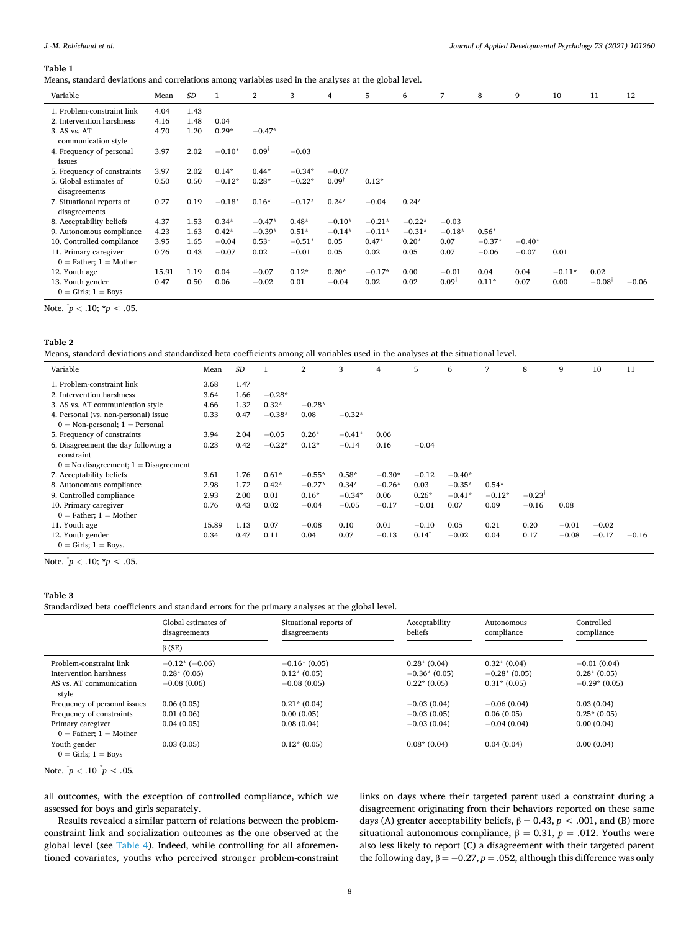#### <span id="page-7-0"></span>**Table 1**

Means, standard deviations and correlations among variables used in the analyses at the global level.

| Variable                                            | Mean  | SD   |          | 2                | 3        | 4                | 5        | 6        | 7                | 8        | 9        | 10       | 11              | 12      |
|-----------------------------------------------------|-------|------|----------|------------------|----------|------------------|----------|----------|------------------|----------|----------|----------|-----------------|---------|
| 1. Problem-constraint link                          | 4.04  | 1.43 |          |                  |          |                  |          |          |                  |          |          |          |                 |         |
| 2. Intervention harshness                           | 4.16  | 1.48 | 0.04     |                  |          |                  |          |          |                  |          |          |          |                 |         |
| 3. AS vs. AT<br>communication style                 | 4.70  | 1.20 | $0.29*$  | $-0.47*$         |          |                  |          |          |                  |          |          |          |                 |         |
| 4. Frequency of personal<br>issues                  | 3.97  | 2.02 | $-0.10*$ | $0.09^{\dagger}$ | $-0.03$  |                  |          |          |                  |          |          |          |                 |         |
| 5. Frequency of constraints                         | 3.97  | 2.02 | $0.14*$  | $0.44*$          | $-0.34*$ | $-0.07$          |          |          |                  |          |          |          |                 |         |
| 5. Global estimates of<br>disagreements             | 0.50  | 0.50 | $-0.12*$ | $0.28*$          | $-0.22*$ | $0.09^{\dagger}$ | $0.12*$  |          |                  |          |          |          |                 |         |
| 7. Situational reports of<br>disagreements          | 0.27  | 0.19 | $-0.18*$ | $0.16*$          | $-0.17*$ | $0.24*$          | $-0.04$  | $0.24*$  |                  |          |          |          |                 |         |
| 8. Acceptability beliefs                            | 4.37  | 1.53 | $0.34*$  | $-0.47*$         | $0.48*$  | $-0.10*$         | $-0.21*$ | $-0.22*$ | $-0.03$          |          |          |          |                 |         |
| 9. Autonomous compliance                            | 4.23  | 1.63 | $0.42*$  | $-0.39*$         | $0.51*$  | $-0.14*$         | $-0.11*$ | $-0.31*$ | $-0.18*$         | $0.56*$  |          |          |                 |         |
| 10. Controlled compliance                           | 3.95  | 1.65 | $-0.04$  | $0.53*$          | $-0.51*$ | 0.05             | $0.47*$  | $0.20*$  | 0.07             | $-0.37*$ | $-0.40*$ |          |                 |         |
| 11. Primary caregiver<br>$0 =$ Father; $1 =$ Mother | 0.76  | 0.43 | $-0.07$  | 0.02             | $-0.01$  | 0.05             | 0.02     | 0.05     | 0.07             | $-0.06$  | $-0.07$  | 0.01     |                 |         |
| 12. Youth age                                       | 15.91 | 1.19 | 0.04     | $-0.07$          | $0.12*$  | $0.20*$          | $-0.17*$ | 0.00     | $-0.01$          | 0.04     | 0.04     | $-0.11*$ | 0.02            |         |
| 13. Youth gender<br>$0 =$ Girls; $1 =$ Boys         | 0.47  | 0.50 | 0.06     | $-0.02$          | 0.01     | $-0.04$          | 0.02     | 0.02     | $0.09^{\dagger}$ | $0.11*$  | 0.07     | 0.00     | $-0.08^\dagger$ | $-0.06$ |

Note. † *p <* .10; \**p < .*05.

## **Table 2**

Means, standard deviations and standardized beta coefficients among all variables used in the analyses at the situational level.

| Variable                                       | Mean  | SD   |          | 2        | 3        | 4        | 5                | 6        | 7        | 8                    | 9       | 10      | 11      |
|------------------------------------------------|-------|------|----------|----------|----------|----------|------------------|----------|----------|----------------------|---------|---------|---------|
| 1. Problem-constraint link                     | 3.68  | 1.47 |          |          |          |          |                  |          |          |                      |         |         |         |
| 2. Intervention harshness                      | 3.64  | 1.66 | $-0.28*$ |          |          |          |                  |          |          |                      |         |         |         |
| 3. AS vs. AT communication style               | 4.66  | 1.32 | $0.32*$  | $-0.28*$ |          |          |                  |          |          |                      |         |         |         |
| 4. Personal (vs. non-personal) issue           | 0.33  | 0.47 | $-0.38*$ | 0.08     | $-0.32*$ |          |                  |          |          |                      |         |         |         |
| $0 = \text{Non-personal}; 1 = \text{Personal}$ |       |      |          |          |          |          |                  |          |          |                      |         |         |         |
| 5. Frequency of constraints                    | 3.94  | 2.04 | $-0.05$  | $0.26*$  | $-0.41*$ | 0.06     |                  |          |          |                      |         |         |         |
| 6. Disagreement the day following a            | 0.23  | 0.42 | $-0.22*$ | $0.12*$  | $-0.14$  | 0.16     | $-0.04$          |          |          |                      |         |         |         |
| constraint                                     |       |      |          |          |          |          |                  |          |          |                      |         |         |         |
| $0 = No$ disagreement; $1 = Disagreement$      |       |      |          |          |          |          |                  |          |          |                      |         |         |         |
| 7. Acceptability beliefs                       | 3.61  | 1.76 | $0.61*$  | $-0.55*$ | $0.58*$  | $-0.30*$ | $-0.12$          | $-0.40*$ |          |                      |         |         |         |
| 8. Autonomous compliance                       | 2.98  | 1.72 | $0.42*$  | $-0.27*$ | $0.34*$  | $-0.26*$ | 0.03             | $-0.35*$ | $0.54*$  |                      |         |         |         |
| 9. Controlled compliance                       | 2.93  | 2.00 | 0.01     | $0.16*$  | $-0.34*$ | 0.06     | $0.26*$          | $-0.41*$ | $-0.12*$ | $-0.23$ <sup>†</sup> |         |         |         |
| 10. Primary caregiver                          | 0.76  | 0.43 | 0.02     | $-0.04$  | $-0.05$  | $-0.17$  | $-0.01$          | 0.07     | 0.09     | $-0.16$              | 0.08    |         |         |
| $0 =$ Father; $1 =$ Mother                     |       |      |          |          |          |          |                  |          |          |                      |         |         |         |
| 11. Youth age                                  | 15.89 | 1.13 | 0.07     | $-0.08$  | 0.10     | 0.01     | $-0.10$          | 0.05     | 0.21     | 0.20                 | $-0.01$ | $-0.02$ |         |
| 12. Youth gender                               | 0.34  | 0.47 | 0.11     | 0.04     | 0.07     | $-0.13$  | $0.14^{\dagger}$ | $-0.02$  | 0.04     | 0.17                 | $-0.08$ | $-0.17$ | $-0.16$ |
| $0 =$ Girls; $1 =$ Boys.                       |       |      |          |          |          |          |                  |          |          |                      |         |         |         |

Note. † *p <* .10; \**p < .*05.

# **Table 3**

Standardized beta coefficients and standard errors for the primary analyses at the global level.

|                                         | Global estimates of<br>disagreements | Situational reports of<br>disagreements | Acceptability<br>beliefs | Autonomous<br>compliance | Controlled<br>compliance |  |
|-----------------------------------------|--------------------------------------|-----------------------------------------|--------------------------|--------------------------|--------------------------|--|
|                                         | $\beta$ (SE)                         |                                         |                          |                          |                          |  |
| Problem-constraint link                 | $-0.12*(-0.06)$                      | $-0.16*(0.05)$                          | $0.28*(0.04)$            | $0.32*(0.04)$            | $-0.01(0.04)$            |  |
| Intervention harshness                  | $0.28*(0.06)$                        | $0.12*(0.05)$                           | $-0.36*(0.05)$           | $-0.28*(0.05)$           | $0.28*(0.05)$            |  |
| AS vs. AT communication<br>style        | $-0.08(0.06)$                        | $-0.08(0.05)$                           | $0.22*(0.05)$            | $0.31*(0.05)$            | $-0.29*(0.05)$           |  |
| Frequency of personal issues            | 0.06(0.05)                           | $0.21*(0.04)$                           | $-0.03(0.04)$            | $-0.06(0.04)$            | 0.03(0.04)               |  |
| Frequency of constraints                | 0.01(0.06)                           | 0.00(0.05)                              | $-0.03(0.05)$            | 0.06(0.05)               | $0.25*(0.05)$            |  |
| Primary caregiver                       | 0.04(0.05)                           | 0.08(0.04)                              | $-0.03(0.04)$            | $-0.04(0.04)$            | 0.00(0.04)               |  |
| $0 =$ Father; $1 =$ Mother              |                                      |                                         |                          |                          |                          |  |
| Youth gender<br>$0 =$ Girls; $1 =$ Boys | 0.03(0.05)                           | $0.12*(0.05)$                           | $0.08*(0.04)$            | 0.04(0.04)               | 0.00(0.04)               |  |

all outcomes, with the exception of controlled compliance, which we assessed for boys and girls separately.

Results revealed a similar pattern of relations between the problemconstraint link and socialization outcomes as the one observed at the global level (see [Table 4](#page-8-0)). Indeed, while controlling for all aforementioned covariates, youths who perceived stronger problem-constraint links on days where their targeted parent used a constraint during a disagreement originating from their behaviors reported on these same days (A) greater acceptability beliefs,  $β = 0.43, p < .001$ , and (B) more situational autonomous compliance,  $β = 0.31, p = .012$ . Youths were also less likely to report (C) a disagreement with their targeted parent the following day,  $β = -0.27, p = .052$ , although this difference was only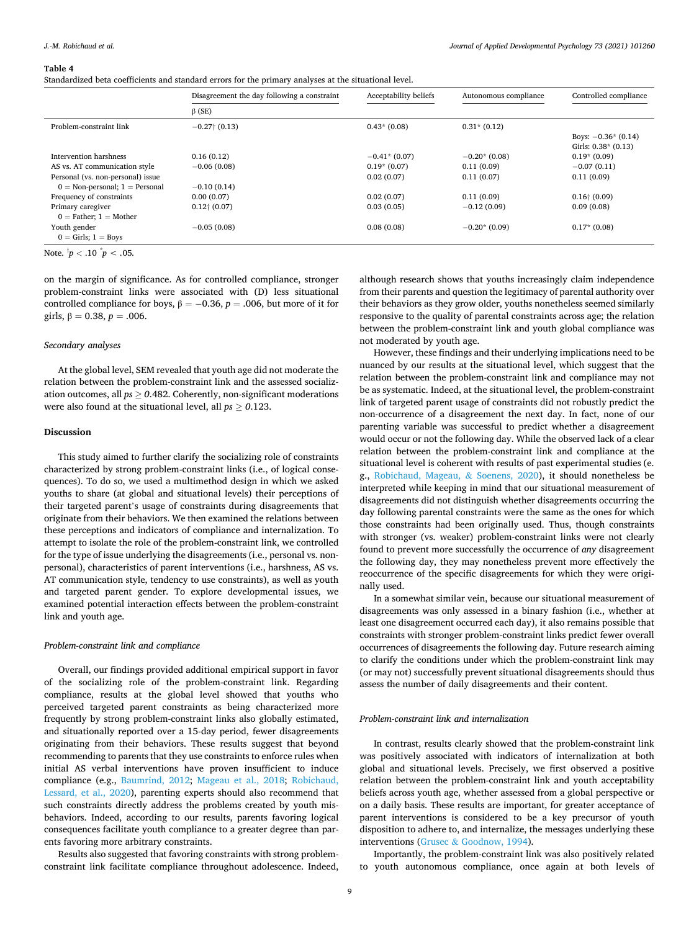#### <span id="page-8-0"></span>**Table 4**

Standardized beta coefficients and standard errors for the primary analyses at the situational level.

|                                                | Disagreement the day following a constraint | Acceptability beliefs | Autonomous compliance | Controlled compliance  |
|------------------------------------------------|---------------------------------------------|-----------------------|-----------------------|------------------------|
|                                                | $\beta$ (SE)                                |                       |                       |                        |
| Problem-constraint link                        | $-0.27$ (0.13)                              | $0.43*(0.08)$         | $0.31*(0.12)$         |                        |
|                                                |                                             |                       |                       | Boys: $-0.36*(0.14)$   |
|                                                |                                             |                       |                       | Girls: $0.38*(0.13)$   |
| Intervention harshness                         | 0.16(0.12)                                  | $-0.41$ $*(0.07)$     | $-0.20*(0.08)$        | $0.19*(0.09)$          |
| AS vs. AT communication style                  | $-0.06(0.08)$                               | $0.19*(0.07)$         | 0.11(0.09)            | $-0.07(0.11)$          |
| Personal (vs. non-personal) issue              |                                             | 0.02(0.07)            | 0.11(0.07)            | 0.11(0.09)             |
| $0 = \text{Non-personal}; 1 = \text{Personal}$ | $-0.10(0.14)$                               |                       |                       |                        |
| Frequency of constraints                       | 0.00(0.07)                                  | 0.02(0.07)            | 0.11(0.09)            | $0.16 \uparrow (0.09)$ |
| Primary caregiver                              | $0.12$ $(0.07)$                             | 0.03(0.05)            | $-0.12(0.09)$         | 0.09(0.08)             |
| $0 =$ Father; $1 =$ Mother                     |                                             |                       |                       |                        |
| Youth gender                                   | $-0.05(0.08)$                               | 0.08(0.08)            | $-0.20*(0.09)$        | $0.17*(0.08)$          |
| $0 =$ Girls; $1 =$ Boys                        |                                             |                       |                       |                        |

Note.  $\frac{1}{p}$  < .10  $\frac{1}{p}$  < .05.

on the margin of significance. As for controlled compliance, stronger problem-constraint links were associated with (D) less situational controlled compliance for boys,  $β = -0.36, p = .006$ , but more of it for girls,  $\beta = 0.38, p = .006$ .

### *Secondary analyses*

At the global level, SEM revealed that youth age did not moderate the relation between the problem-constraint link and the assessed socialization outcomes, all *ps* ≥ *0*.482. Coherently, non-significant moderations were also found at the situational level, all *ps* ≥ *0*.123.

# **Discussion**

This study aimed to further clarify the socializing role of constraints characterized by strong problem-constraint links (i.e., of logical consequences). To do so, we used a multimethod design in which we asked youths to share (at global and situational levels) their perceptions of their targeted parent's usage of constraints during disagreements that originate from their behaviors. We then examined the relations between these perceptions and indicators of compliance and internalization. To attempt to isolate the role of the problem-constraint link, we controlled for the type of issue underlying the disagreements (i.e., personal vs. nonpersonal), characteristics of parent interventions (i.e., harshness, AS vs. AT communication style, tendency to use constraints), as well as youth and targeted parent gender. To explore developmental issues, we examined potential interaction effects between the problem-constraint link and youth age.

## *Problem-constraint link and compliance*

Overall, our findings provided additional empirical support in favor of the socializing role of the problem-constraint link. Regarding compliance, results at the global level showed that youths who perceived targeted parent constraints as being characterized more frequently by strong problem-constraint links also globally estimated, and situationally reported over a 15-day period, fewer disagreements originating from their behaviors. These results suggest that beyond recommending to parents that they use constraints to enforce rules when initial AS verbal interventions have proven insufficient to induce compliance (e.g., [Baumrind, 2012](#page-11-0); [Mageau et al., 2018;](#page-11-0) [Robichaud,](#page-11-0)  [Lessard, et al., 2020](#page-11-0)), parenting experts should also recommend that such constraints directly address the problems created by youth misbehaviors. Indeed, according to our results, parents favoring logical consequences facilitate youth compliance to a greater degree than parents favoring more arbitrary constraints.

Results also suggested that favoring constraints with strong problemconstraint link facilitate compliance throughout adolescence. Indeed, although research shows that youths increasingly claim independence from their parents and question the legitimacy of parental authority over their behaviors as they grow older, youths nonetheless seemed similarly responsive to the quality of parental constraints across age; the relation between the problem-constraint link and youth global compliance was not moderated by youth age.

However, these findings and their underlying implications need to be nuanced by our results at the situational level, which suggest that the relation between the problem-constraint link and compliance may not be as systematic. Indeed, at the situational level, the problem-constraint link of targeted parent usage of constraints did not robustly predict the non-occurrence of a disagreement the next day. In fact, none of our parenting variable was successful to predict whether a disagreement would occur or not the following day. While the observed lack of a clear relation between the problem-constraint link and compliance at the situational level is coherent with results of past experimental studies (e. g., [Robichaud, Mageau,](#page-11-0) & Soenens, 2020), it should nonetheless be interpreted while keeping in mind that our situational measurement of disagreements did not distinguish whether disagreements occurring the day following parental constraints were the same as the ones for which those constraints had been originally used. Thus, though constraints with stronger (vs. weaker) problem-constraint links were not clearly found to prevent more successfully the occurrence of *any* disagreement the following day, they may nonetheless prevent more effectively the reoccurrence of the specific disagreements for which they were originally used.

In a somewhat similar vein, because our situational measurement of disagreements was only assessed in a binary fashion (i.e., whether at least one disagreement occurred each day), it also remains possible that constraints with stronger problem-constraint links predict fewer overall occurrences of disagreements the following day. Future research aiming to clarify the conditions under which the problem-constraint link may (or may not) successfully prevent situational disagreements should thus assess the number of daily disagreements and their content.

# *Problem-constraint link and internalization*

In contrast, results clearly showed that the problem-constraint link was positively associated with indicators of internalization at both global and situational levels. Precisely, we first observed a positive relation between the problem-constraint link and youth acceptability beliefs across youth age, whether assessed from a global perspective or on a daily basis. These results are important, for greater acceptance of parent interventions is considered to be a key precursor of youth disposition to adhere to, and internalize, the messages underlying these interventions (Grusec & [Goodnow, 1994\)](#page-11-0).

Importantly, the problem-constraint link was also positively related to youth autonomous compliance, once again at both levels of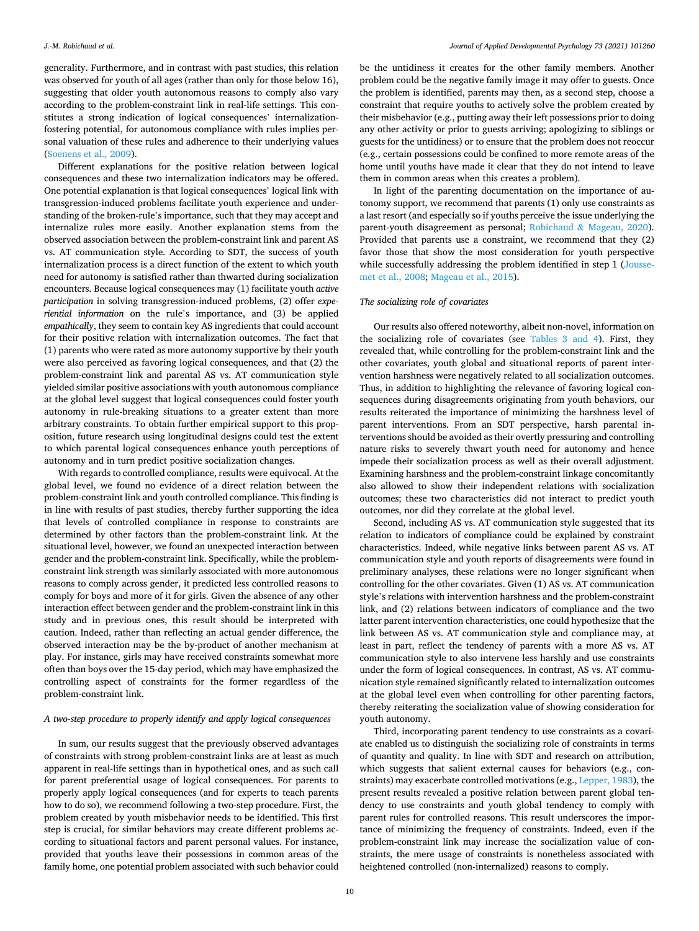## *J.-M. Robichaud et al.*

generality. Furthermore, and in contrast with past studies, this relation was observed for youth of all ages (rather than only for those below 16), suggesting that older youth autonomous reasons to comply also vary according to the problem-constraint link in real-life settings. This constitutes a strong indication of logical consequences' internalizationfostering potential, for autonomous compliance with rules implies personal valuation of these rules and adherence to their underlying values ([Soenens et al., 2009\)](#page-11-0).

Different explanations for the positive relation between logical consequences and these two internalization indicators may be offered. One potential explanation is that logical consequences' logical link with transgression-induced problems facilitate youth experience and understanding of the broken-rule's importance, such that they may accept and internalize rules more easily. Another explanation stems from the observed association between the problem-constraint link and parent AS vs. AT communication style. According to SDT, the success of youth internalization process is a direct function of the extent to which youth need for autonomy is satisfied rather than thwarted during socialization encounters. Because logical consequences may (1) facilitate youth *active participation* in solving transgression-induced problems, (2) offer *experiential information* on the rule's importance, and (3) be applied *empathically*, they seem to contain key AS ingredients that could account for their positive relation with internalization outcomes. The fact that (1) parents who were rated as more autonomy supportive by their youth were also perceived as favoring logical consequences, and that (2) the problem-constraint link and parental AS vs. AT communication style yielded similar positive associations with youth autonomous compliance at the global level suggest that logical consequences could foster youth autonomy in rule-breaking situations to a greater extent than more arbitrary constraints. To obtain further empirical support to this proposition, future research using longitudinal designs could test the extent to which parental logical consequences enhance youth perceptions of autonomy and in turn predict positive socialization changes.

With regards to controlled compliance, results were equivocal. At the global level, we found no evidence of a direct relation between the problem-constraint link and youth controlled compliance. This finding is in line with results of past studies, thereby further supporting the idea that levels of controlled compliance in response to constraints are determined by other factors than the problem-constraint link. At the situational level, however, we found an unexpected interaction between gender and the problem-constraint link. Specifically, while the problemconstraint link strength was similarly associated with more autonomous reasons to comply across gender, it predicted less controlled reasons to comply for boys and more of it for girls. Given the absence of any other interaction effect between gender and the problem-constraint link in this study and in previous ones, this result should be interpreted with caution. Indeed, rather than reflecting an actual gender difference, the observed interaction may be the by-product of another mechanism at play. For instance, girls may have received constraints somewhat more often than boys over the 15-day period, which may have emphasized the controlling aspect of constraints for the former regardless of the problem-constraint link.

# *A two-step procedure to properly identify and apply logical consequences*

In sum, our results suggest that the previously observed advantages of constraints with strong problem-constraint links are at least as much apparent in real-life settings than in hypothetical ones, and as such call for parent preferential usage of logical consequences. For parents to properly apply logical consequences (and for experts to teach parents how to do so), we recommend following a two-step procedure. First, the problem created by youth misbehavior needs to be identified. This first step is crucial, for similar behaviors may create different problems according to situational factors and parent personal values. For instance, provided that youths leave their possessions in common areas of the family home, one potential problem associated with such behavior could

be the untidiness it creates for the other family members. Another problem could be the negative family image it may offer to guests. Once the problem is identified, parents may then, as a second step, choose a constraint that require youths to actively solve the problem created by their misbehavior (e.g., putting away their left possessions prior to doing any other activity or prior to guests arriving; apologizing to siblings or guests for the untidiness) or to ensure that the problem does not reoccur (e.g., certain possessions could be confined to more remote areas of the home until youths have made it clear that they do not intend to leave them in common areas when this creates a problem).

In light of the parenting documentation on the importance of autonomy support, we recommend that parents (1) only use constraints as a last resort (and especially so if youths perceive the issue underlying the parent-youth disagreement as personal; Robichaud & [Mageau, 2020](#page-11-0)). Provided that parents use a constraint, we recommend that they (2) favor those that show the most consideration for youth perspective while successfully addressing the problem identified in step 1 [\(Jousse](#page-11-0)[met et al., 2008; Mageau et al., 2015\)](#page-11-0).

# *The socializing role of covariates*

Our results also offered noteworthy, albeit non-novel, information on the socializing role of covariates (see [Tables 3 and 4](#page-7-0)). First, they revealed that, while controlling for the problem-constraint link and the other covariates, youth global and situational reports of parent intervention harshness were negatively related to all socialization outcomes. Thus, in addition to highlighting the relevance of favoring logical consequences during disagreements originating from youth behaviors, our results reiterated the importance of minimizing the harshness level of parent interventions. From an SDT perspective, harsh parental interventions should be avoided as their overtly pressuring and controlling nature risks to severely thwart youth need for autonomy and hence impede their socialization process as well as their overall adjustment. Examining harshness and the problem-constraint linkage concomitantly also allowed to show their independent relations with socialization outcomes; these two characteristics did not interact to predict youth outcomes, nor did they correlate at the global level.

Second, including AS vs. AT communication style suggested that its relation to indicators of compliance could be explained by constraint characteristics. Indeed, while negative links between parent AS vs. AT communication style and youth reports of disagreements were found in preliminary analyses, these relations were no longer significant when controlling for the other covariates. Given (1) AS vs. AT communication style's relations with intervention harshness and the problem-constraint link, and (2) relations between indicators of compliance and the two latter parent intervention characteristics, one could hypothesize that the link between AS vs. AT communication style and compliance may, at least in part, reflect the tendency of parents with a more AS vs. AT communication style to also intervene less harshly and use constraints under the form of logical consequences. In contrast, AS vs. AT communication style remained significantly related to internalization outcomes at the global level even when controlling for other parenting factors, thereby reiterating the socialization value of showing consideration for youth autonomy.

Third, incorporating parent tendency to use constraints as a covariate enabled us to distinguish the socializing role of constraints in terms of quantity and quality. In line with SDT and research on attribution, which suggests that salient external causes for behaviors (e.g., constraints) may exacerbate controlled motivations (e.g., [Lepper, 1983\)](#page-11-0), the present results revealed a positive relation between parent global tendency to use constraints and youth global tendency to comply with parent rules for controlled reasons. This result underscores the importance of minimizing the frequency of constraints. Indeed, even if the problem-constraint link may increase the socialization value of constraints, the mere usage of constraints is nonetheless associated with heightened controlled (non-internalized) reasons to comply.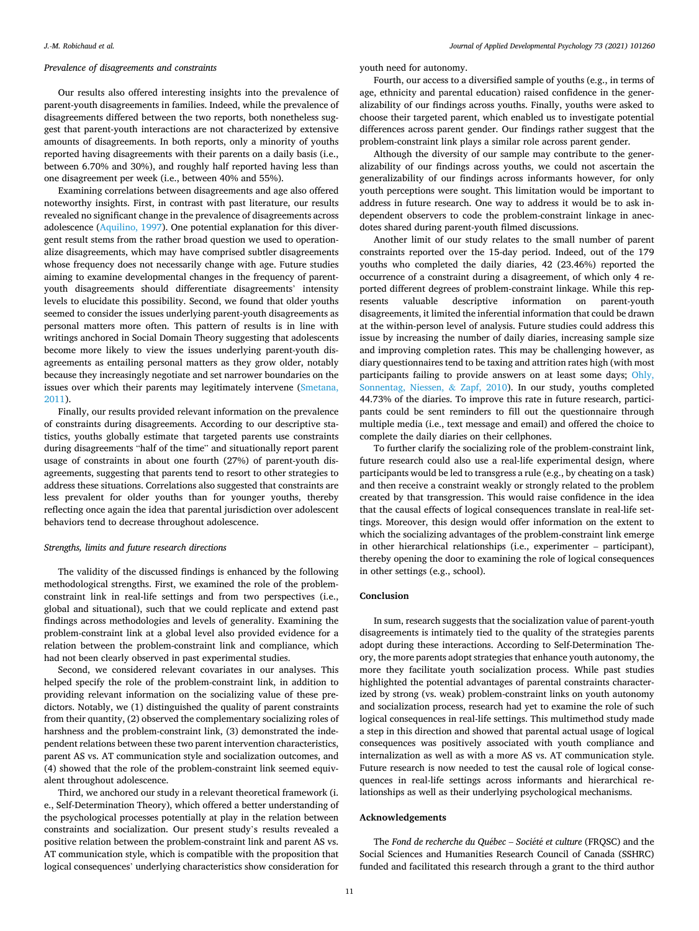# *Prevalence of disagreements and constraints*

Our results also offered interesting insights into the prevalence of parent-youth disagreements in families. Indeed, while the prevalence of disagreements differed between the two reports, both nonetheless suggest that parent-youth interactions are not characterized by extensive amounts of disagreements. In both reports, only a minority of youths reported having disagreements with their parents on a daily basis (i.e., between 6.70% and 30%), and roughly half reported having less than one disagreement per week (i.e., between 40% and 55%).

Examining correlations between disagreements and age also offered noteworthy insights. First, in contrast with past literature, our results revealed no significant change in the prevalence of disagreements across adolescence [\(Aquilino, 1997](#page-11-0)). One potential explanation for this divergent result stems from the rather broad question we used to operationalize disagreements, which may have comprised subtler disagreements whose frequency does not necessarily change with age. Future studies aiming to examine developmental changes in the frequency of parentyouth disagreements should differentiate disagreements' intensity levels to elucidate this possibility. Second, we found that older youths seemed to consider the issues underlying parent-youth disagreements as personal matters more often. This pattern of results is in line with writings anchored in Social Domain Theory suggesting that adolescents become more likely to view the issues underlying parent-youth disagreements as entailing personal matters as they grow older, notably because they increasingly negotiate and set narrower boundaries on the issues over which their parents may legitimately intervene [\(Smetana,](#page-11-0)  [2011\)](#page-11-0).

Finally, our results provided relevant information on the prevalence of constraints during disagreements. According to our descriptive statistics, youths globally estimate that targeted parents use constraints during disagreements "half of the time" and situationally report parent usage of constraints in about one fourth (27%) of parent-youth disagreements, suggesting that parents tend to resort to other strategies to address these situations. Correlations also suggested that constraints are less prevalent for older youths than for younger youths, thereby reflecting once again the idea that parental jurisdiction over adolescent behaviors tend to decrease throughout adolescence.

## *Strengths, limits and future research directions*

The validity of the discussed findings is enhanced by the following methodological strengths. First, we examined the role of the problemconstraint link in real-life settings and from two perspectives (i.e., global and situational), such that we could replicate and extend past findings across methodologies and levels of generality. Examining the problem-constraint link at a global level also provided evidence for a relation between the problem-constraint link and compliance, which had not been clearly observed in past experimental studies.

Second, we considered relevant covariates in our analyses. This helped specify the role of the problem-constraint link, in addition to providing relevant information on the socializing value of these predictors. Notably, we (1) distinguished the quality of parent constraints from their quantity, (2) observed the complementary socializing roles of harshness and the problem-constraint link, (3) demonstrated the independent relations between these two parent intervention characteristics, parent AS vs. AT communication style and socialization outcomes, and (4) showed that the role of the problem-constraint link seemed equivalent throughout adolescence.

Third, we anchored our study in a relevant theoretical framework (i. e., Self-Determination Theory), which offered a better understanding of the psychological processes potentially at play in the relation between constraints and socialization. Our present study's results revealed a positive relation between the problem-constraint link and parent AS vs. AT communication style, which is compatible with the proposition that logical consequences' underlying characteristics show consideration for

youth need for autonomy.

Fourth, our access to a diversified sample of youths (e.g., in terms of age, ethnicity and parental education) raised confidence in the generalizability of our findings across youths. Finally, youths were asked to choose their targeted parent, which enabled us to investigate potential differences across parent gender. Our findings rather suggest that the problem-constraint link plays a similar role across parent gender.

Although the diversity of our sample may contribute to the generalizability of our findings across youths, we could not ascertain the generalizability of our findings across informants however, for only youth perceptions were sought. This limitation would be important to address in future research. One way to address it would be to ask independent observers to code the problem-constraint linkage in anecdotes shared during parent-youth filmed discussions.

Another limit of our study relates to the small number of parent constraints reported over the 15-day period. Indeed, out of the 179 youths who completed the daily diaries, 42 (23.46%) reported the occurrence of a constraint during a disagreement, of which only 4 reported different degrees of problem-constraint linkage. While this represents valuable descriptive information on parent-youth disagreements, it limited the inferential information that could be drawn at the within-person level of analysis. Future studies could address this issue by increasing the number of daily diaries, increasing sample size and improving completion rates. This may be challenging however, as diary questionnaires tend to be taxing and attrition rates high (with most participants failing to provide answers on at least some days; [Ohly,](#page-11-0)  [Sonnentag, Niessen,](#page-11-0) & Zapf, 2010). In our study, youths completed 44.73% of the diaries. To improve this rate in future research, participants could be sent reminders to fill out the questionnaire through multiple media (i.e., text message and email) and offered the choice to complete the daily diaries on their cellphones.

To further clarify the socializing role of the problem-constraint link, future research could also use a real-life experimental design, where participants would be led to transgress a rule (e.g., by cheating on a task) and then receive a constraint weakly or strongly related to the problem created by that transgression. This would raise confidence in the idea that the causal effects of logical consequences translate in real-life settings. Moreover, this design would offer information on the extent to which the socializing advantages of the problem-constraint link emerge in other hierarchical relationships (i.e., experimenter – participant), thereby opening the door to examining the role of logical consequences in other settings (e.g., school).

# **Conclusion**

In sum, research suggests that the socialization value of parent-youth disagreements is intimately tied to the quality of the strategies parents adopt during these interactions. According to Self-Determination Theory, the more parents adopt strategies that enhance youth autonomy, the more they facilitate youth socialization process. While past studies highlighted the potential advantages of parental constraints characterized by strong (vs. weak) problem-constraint links on youth autonomy and socialization process, research had yet to examine the role of such logical consequences in real-life settings. This multimethod study made a step in this direction and showed that parental actual usage of logical consequences was positively associated with youth compliance and internalization as well as with a more AS vs. AT communication style. Future research is now needed to test the causal role of logical consequences in real-life settings across informants and hierarchical relationships as well as their underlying psychological mechanisms.

# **Acknowledgements**

The *Fond de recherche du Québec – Société et culture* (FRQSC) and the Social Sciences and Humanities Research Council of Canada (SSHRC) funded and facilitated this research through a grant to the third author